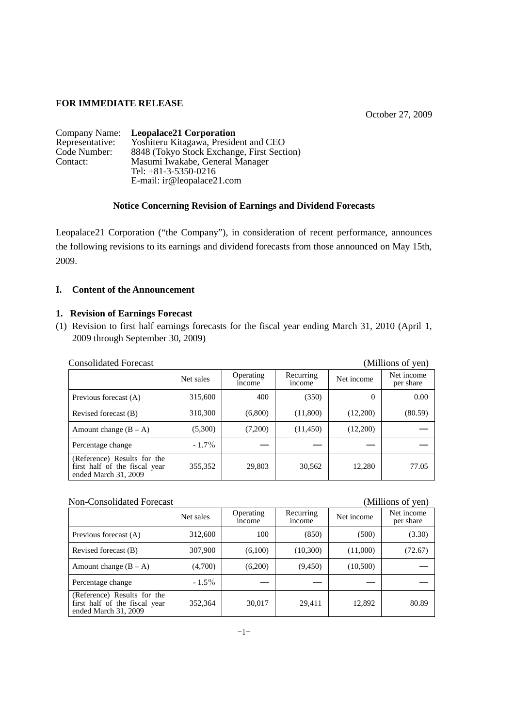## **FOR IMMEDIATE RELEASE**

October 27, 2009

| Company Name:   | <b>Leopalace21 Corporation</b>             |
|-----------------|--------------------------------------------|
| Representative: | Yoshiteru Kitagawa, President and CEO      |
| Code Number:    | 8848 (Tokyo Stock Exchange, First Section) |
| Contact:        | Masumi Iwakabe, General Manager            |
|                 | Tel: $+81-3-5350-0216$                     |
|                 | E-mail: ir@leopalace21.com                 |

## **Notice Concerning Revision of Earnings and Dividend Forecasts**

Leopalace21 Corporation ("the Company"), in consideration of recent performance, announces the following revisions to its earnings and dividend forecasts from those announced on May 15th, 2009.

## **I. Content of the Announcement**

## **1. Revision of Earnings Forecast**

(1) Revision to first half earnings forecasts for the fiscal year ending March 31, 2010 (April 1, 2009 through September 30, 2009)

| <b>Consolidated Forecast</b>                                                         |           |                            |                     |            | (Millions of yen)       |
|--------------------------------------------------------------------------------------|-----------|----------------------------|---------------------|------------|-------------------------|
|                                                                                      | Net sales | Operating<br><i>n</i> come | Recurring<br>income | Net income | Net income<br>per share |
| Previous forecast (A)                                                                | 315,600   | 400                        | (350)               | 0          | 0.00                    |
| Revised forecast (B)                                                                 | 310,300   | (6,800)                    | (11,800)            | (12,200)   | (80.59)                 |
| Amount change $(B - A)$                                                              | (5,300)   | (7,200)                    | (11, 450)           | (12,200)   |                         |
| Percentage change                                                                    | $-1.7\%$  |                            |                     |            |                         |
| (Reference) Results for the<br>first half of the fiscal year<br>ended March 31, 2009 | 355,352   | 29,803                     | 30,562              | 12,280     | 77.05                   |

Non-Consolidated Forecast (Millions of yen)

|                                                                                      | Net sales | Operating<br><i>n</i> come | Recurring<br>income | Net income | J /<br>Net income<br>per share |
|--------------------------------------------------------------------------------------|-----------|----------------------------|---------------------|------------|--------------------------------|
| Previous forecast (A)                                                                | 312,600   | 100                        | (850)               | (500)      | (3.30)                         |
| Revised forecast (B)                                                                 | 307,900   | (6,100)                    | (10,300)            | (11,000)   | (72.67)                        |
| Amount change $(B - A)$                                                              | (4,700)   | (6,200)                    | (9, 450)            | (10,500)   |                                |
| Percentage change                                                                    | $-1.5\%$  |                            |                     |            |                                |
| (Reference) Results for the<br>first half of the fiscal year<br>ended March 31, 2009 | 352,364   | 30,017                     | 29,411              | 12,892     | 80.89                          |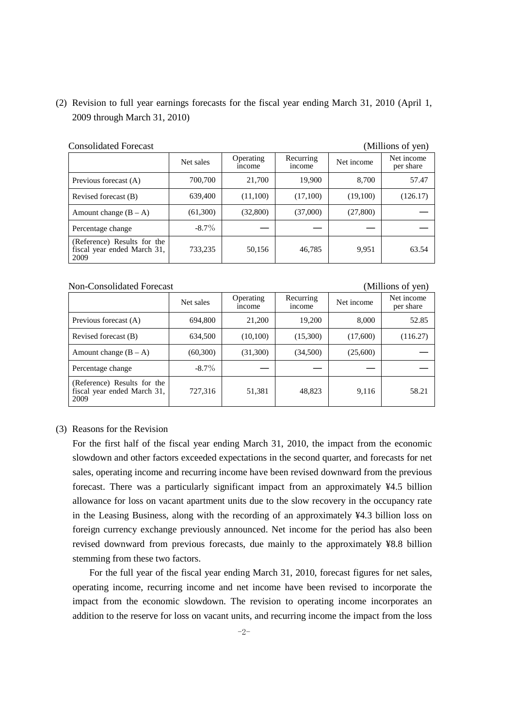# (2) Revision to full year earnings forecasts for the fiscal year ending March 31, 2010 (April 1, 2009 through March 31, 2010)

| Consondated Porceast                                               |           |                           |                     |            | тиниона от усп <i>ј</i> |
|--------------------------------------------------------------------|-----------|---------------------------|---------------------|------------|-------------------------|
|                                                                    | Net sales | Operating<br><i>ncome</i> | Recurring<br>income | Net income | Net income<br>per share |
| Previous forecast (A)                                              | 700,700   | 21,700                    | 19,900              | 8.700      | 57.47                   |
| Revised forecast (B)                                               | 639,400   | (11,100)                  | (17,100)            | (19,100)   | (126.17)                |
| Amount change $(B - A)$                                            | (61,300)  | (32,800)                  | (37,000)            | (27,800)   |                         |
| Percentage change                                                  | $-8.7\%$  |                           |                     |            |                         |
| (Reference) Results for the<br>fiscal year ended March 31,<br>2009 | 733,235   | 50,156                    | 46,785              | 9,951      | 63.54                   |

### Consolidated Forecast (Millions of yen)

#### Non-Consolidated Forecast (Millions of yen)

|                                                                    | Net sales | Operating<br><i>ncome</i> | Recurring<br>income | Net income | Net income<br>per share |
|--------------------------------------------------------------------|-----------|---------------------------|---------------------|------------|-------------------------|
| Previous forecast (A)                                              | 694,800   | 21,200                    | 19,200              | 8,000      | 52.85                   |
| Revised forecast (B)                                               | 634,500   | (10, 100)                 | (15,300)            | (17,600)   | (116.27)                |
| Amount change $(B - A)$                                            | (60, 300) | (31,300)                  | (34,500)            | (25,600)   |                         |
| Percentage change                                                  | $-8.7\%$  |                           |                     |            |                         |
| (Reference) Results for the<br>fiscal year ended March 31,<br>2009 | 727,316   | 51,381                    | 48.823              | 9,116      | 58.21                   |

### (3) Reasons for the Revision

For the first half of the fiscal year ending March 31, 2010, the impact from the economic slowdown and other factors exceeded expectations in the second quarter, and forecasts for net sales, operating income and recurring income have been revised downward from the previous forecast. There was a particularly significant impact from an approximately ¥4.5 billion allowance for loss on vacant apartment units due to the slow recovery in the occupancy rate in the Leasing Business, along with the recording of an approximately ¥4.3 billion loss on foreign currency exchange previously announced. Net income for the period has also been revised downward from previous forecasts, due mainly to the approximately ¥8.8 billion stemming from these two factors.

For the full year of the fiscal year ending March 31, 2010, forecast figures for net sales, operating income, recurring income and net income have been revised to incorporate the impact from the economic slowdown. The revision to operating income incorporates an addition to the reserve for loss on vacant units, and recurring income the impact from the loss